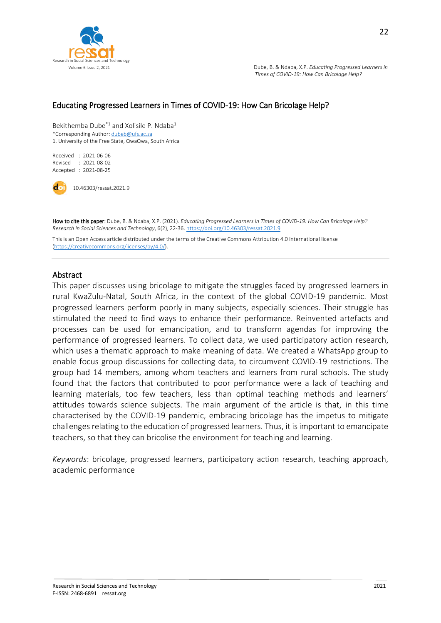

#### Educating Progressed Learners in Times of COVID-19: How Can Bricolage Help?

Bekithemba Dube<sup>\*1</sup> and Xolisile P. Ndaba<sup>1</sup> \*Corresponding Author[: dubeb@ufs.ac.za](mailto:dubeb@ufs.ac.za) 1. University of the Free State, QwaQwa, South Africa

Received : 2021-06-06 Revised : 2021-08-02 Accepted : 2021-08-25

10.46303/ressat.2021.9

How to cite this paper: Dube, B. & Ndaba, X.P. (2021). *Educating Progressed Learners in Times of COVID-19: How Can Bricolage Help? Research in Social Sciences and Technology*, 6(2), 22-36[. https://doi.org/10.46303/ressat.2021.9](https://doi.org/10.46303/ressat.2021.9)

This is an Open Access article distributed under the terms of the Creative Commons Attribution 4.0 International license [\(https://creativecommons.org/licenses/by/4.0/\).](https://creativecommons.org/licenses/by/4.0/)

#### Abstract

This paper discusses using bricolage to mitigate the struggles faced by progressed learners in rural KwaZulu-Natal, South Africa, in the context of the global COVID-19 pandemic. Most progressed learners perform poorly in many subjects, especially sciences. Their struggle has stimulated the need to find ways to enhance their performance. Reinvented artefacts and processes can be used for emancipation, and to transform agendas for improving the performance of progressed learners. To collect data, we used participatory action research, which uses a thematic approach to make meaning of data. We created a WhatsApp group to enable focus group discussions for collecting data, to circumvent COVID-19 restrictions. The group had 14 members, among whom teachers and learners from rural schools. The study found that the factors that contributed to poor performance were a lack of teaching and learning materials, too few teachers, less than optimal teaching methods and learners' attitudes towards science subjects. The main argument of the article is that, in this time characterised by the COVID-19 pandemic, embracing bricolage has the impetus to mitigate challenges relating to the education of progressed learners. Thus, it is important to emancipate teachers, so that they can bricolise the environment for teaching and learning.

*Keywords*: bricolage, progressed learners, participatory action research, teaching approach, academic performance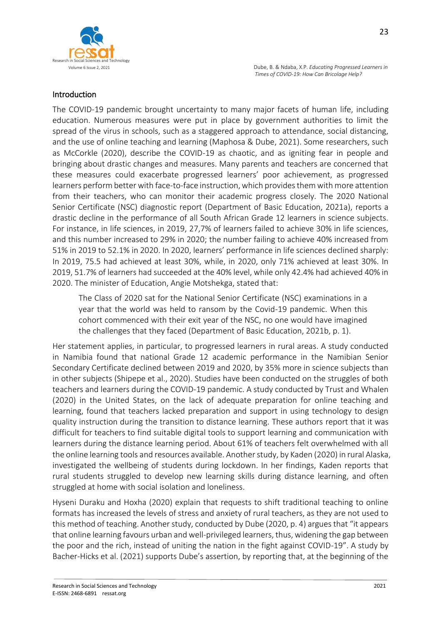

### Introduction

The COVID-19 pandemic brought uncertainty to many major facets of human life, including education. Numerous measures were put in place by government authorities to limit the spread of the virus in schools, such as a staggered approach to attendance, social distancing, and the use of online teaching and learning (Maphosa & Dube, 2021). Some researchers, such as McCorkle (2020), describe the COVID-19 as chaotic, and as igniting fear in people and bringing about drastic changes and measures. Many parents and teachers are concerned that these measures could exacerbate progressed learners' poor achievement, as progressed learners perform better with face-to-face instruction, which provides them with more attention from their teachers, who can monitor their academic progress closely. The 2020 National Senior Certificate (NSC) diagnostic report (Department of Basic Education, 2021a), reports a drastic decline in the performance of all South African Grade 12 learners in science subjects. For instance, in life sciences, in 2019, 27,7% of learners failed to achieve 30% in life sciences, and this number increased to 29% in 2020; the number failing to achieve 40% increased from 51% in 2019 to 52.1% in 2020. In 2020, learners' performance in life sciences declined sharply: In 2019, 75.5 had achieved at least 30%, while, in 2020, only 71% achieved at least 30%. In 2019, 51.7% of learners had succeeded at the 40% level, while only 42.4% had achieved 40% in 2020. The minister of Education, Angie Motshekga, stated that:

The Class of 2020 sat for the National Senior Certificate (NSC) examinations in a year that the world was held to ransom by the Covid-19 pandemic. When this cohort commenced with their exit year of the NSC, no one would have imagined the challenges that they faced (Department of Basic Education, 2021b, p. 1).

Her statement applies, in particular, to progressed learners in rural areas. A study conducted in Namibia found that national Grade 12 academic performance in the Namibian Senior Secondary Certificate declined between 2019 and 2020, by 35% more in science subjects than in other subjects (Shipepe et al., 2020). Studies have been conducted on the struggles of both teachers and learners during the COVID-19 pandemic. A study conducted by Trust and Whalen (2020) in the United States, on the lack of adequate preparation for online teaching and learning, found that teachers lacked preparation and support in using technology to design quality instruction during the transition to distance learning. These authors report that it was difficult for teachers to find suitable digital tools to support learning and communication with learners during the distance learning period. About 61% of teachers felt overwhelmed with all the online learning tools and resources available. Another study, by Kaden (2020) in rural Alaska, investigated the wellbeing of students during lockdown. In her findings, Kaden reports that rural students struggled to develop new learning skills during distance learning, and often struggled at home with social isolation and loneliness.

Hyseni Duraku and Hoxha (2020) explain that requests to shift traditional teaching to online formats has increased the levels of stress and anxiety of rural teachers, as they are not used to this method of teaching. Another study, conducted by Dube (2020, p. 4) argues that "it appears that online learning favours urban and well-privileged learners, thus, widening the gap between the poor and the rich, instead of uniting the nation in the fight against COVID-19". A study by Bacher-Hicks et al. (2021) supports Dube's assertion, by reporting that, at the beginning of the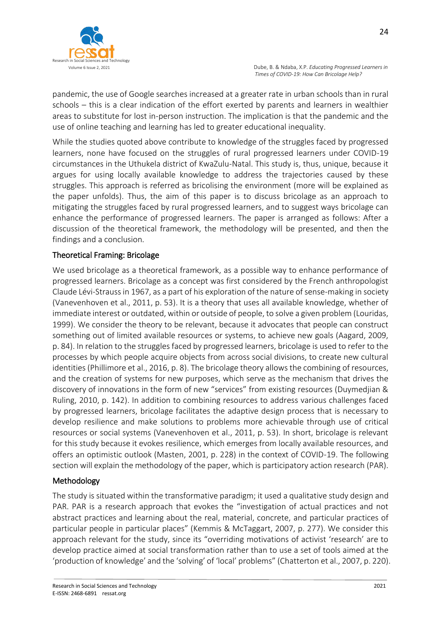

pandemic, the use of Google searches increased at a greater rate in urban schools than in rural schools – this is a clear indication of the effort exerted by parents and learners in wealthier areas to substitute for lost in-person instruction. The implication is that the pandemic and the use of online teaching and learning has led to greater educational inequality.

While the studies quoted above contribute to knowledge of the struggles faced by progressed learners, none have focused on the struggles of rural progressed learners under COVID-19 circumstances in the Uthukela district of KwaZulu-Natal. This study is, thus, unique, because it argues for using locally available knowledge to address the trajectories caused by these struggles. This approach is referred as bricolising the environment (more will be explained as the paper unfolds). Thus, the aim of this paper is to discuss bricolage as an approach to mitigating the struggles faced by rural progressed learners, and to suggest ways bricolage can enhance the performance of progressed learners. The paper is arranged as follows: After a discussion of the theoretical framework, the methodology will be presented, and then the findings and a conclusion.

# Theoretical Framing: Bricolage

We used bricolage as a theoretical framework, as a possible way to enhance performance of progressed learners. Bricolage as a concept was first considered by the French anthropologist Claude Lévi-Strauss in 1967, as a part of his exploration of the nature of sense-making in society (Vanevenhoven et al., 2011, p. 53). It is a theory that uses all available knowledge, whether of immediate interest or outdated, within or outside of people, to solve a given problem (Louridas, 1999). We consider the theory to be relevant, because it advocates that people can construct something out of limited available resources or systems, to achieve new goals (Aagard, 2009, p. 84). In relation to the struggles faced by progressed learners, bricolage is used to refer to the processes by which people acquire objects from across social divisions, to create new cultural identities (Phillimore et al., 2016, p. 8). The bricolage theory allows the combining of resources, and the creation of systems for new purposes, which serve as the mechanism that drives the discovery of innovations in the form of new "services" from existing resources (Duymedjian & Ruling, 2010, p. 142). In addition to combining resources to address various challenges faced by progressed learners, bricolage facilitates the adaptive design process that is necessary to develop resilience and make solutions to problems more achievable through use of critical resources or social systems (Vanevenhoven et al., 2011, p. 53). In short, bricolage is relevant for this study because it evokes resilience, which emerges from locally available resources, and offers an optimistic outlook (Masten, 2001, p. 228) in the context of COVID-19. The following section will explain the methodology of the paper, which is participatory action research (PAR).

#### Methodology

The study is situated within the transformative paradigm; it used a qualitative study design and PAR. PAR is a research approach that evokes the "investigation of actual practices and not abstract practices and learning about the real, material, concrete, and particular practices of particular people in particular places" (Kemmis & McTaggart, 2007, p. 277). We consider this approach relevant for the study, since its "overriding motivations of activist 'research' are to develop practice aimed at social transformation rather than to use a set of tools aimed at the 'production of knowledge' and the 'solving' of 'local' problems" (Chatterton et al., 2007, p. 220).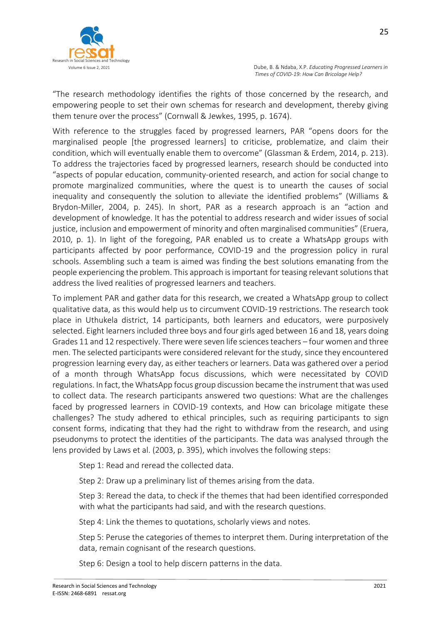

25

"The research methodology identifies the rights of those concerned by the research, and empowering people to set their own schemas for research and development, thereby giving them tenure over the process" (Cornwall & Jewkes, 1995, p. 1674).

With reference to the struggles faced by progressed learners, PAR "opens doors for the marginalised people [the progressed learners] to criticise, problematize, and claim their condition, which will eventually enable them to overcome" (Glassman & Erdem, 2014, p. 213). To address the trajectories faced by progressed learners, research should be conducted into "aspects of popular education, community-oriented research, and action for social change to promote marginalized communities, where the quest is to unearth the causes of social inequality and consequently the solution to alleviate the identified problems" (Williams & Brydon-Miller, 2004, p. 245). In short, PAR as a research approach is an "action and development of knowledge. It has the potential to address research and wider issues of social justice, inclusion and empowerment of minority and often marginalised communities" (Eruera, 2010, p. 1). In light of the foregoing, PAR enabled us to create a WhatsApp groups with participants affected by poor performance, COVID-19 and the progression policy in rural schools. Assembling such a team is aimed was finding the best solutions emanating from the people experiencing the problem. This approach is important for teasing relevant solutions that address the lived realities of progressed learners and teachers.

To implement PAR and gather data for this research, we created a WhatsApp group to collect qualitative data, as this would help us to circumvent COVID-19 restrictions. The research took place in Uthukela district, 14 participants, both learners and educators, were purposively selected. Eight learners included three boys and four girls aged between 16 and 18, years doing Grades 11 and 12 respectively. There were seven life sciences teachers – four women and three men. The selected participants were considered relevant for the study, since they encountered progression learning every day, as either teachers or learners. Data was gathered over a period of a month through WhatsApp focus discussions, which were necessitated by COVID regulations. In fact, the WhatsApp focus group discussion became the instrument that was used to collect data. The research participants answered two questions: What are the challenges faced by progressed learners in COVID-19 contexts, and How can bricolage mitigate these challenges? The study adhered to ethical principles, such as requiring participants to sign consent forms, indicating that they had the right to withdraw from the research, and using pseudonyms to protect the identities of the participants. The data was analysed through the lens provided by Laws et al. (2003, p. 395), which involves the following steps:

Step 1: Read and reread the collected data.

Step 2: Draw up a preliminary list of themes arising from the data.

Step 3: Reread the data, to check if the themes that had been identified corresponded with what the participants had said, and with the research questions.

Step 4: Link the themes to quotations, scholarly views and notes.

Step 5: Peruse the categories of themes to interpret them. During interpretation of the data, remain cognisant of the research questions.

Step 6: Design a tool to help discern patterns in the data.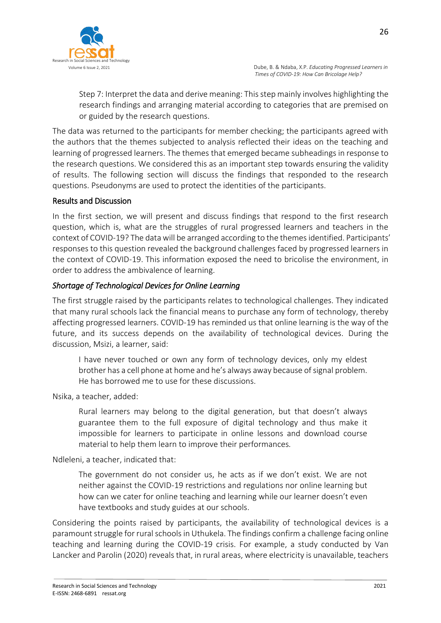

Step 7: Interpret the data and derive meaning: This step mainly involves highlighting the research findings and arranging material according to categories that are premised on or guided by the research questions.

The data was returned to the participants for member checking; the participants agreed with the authors that the themes subjected to analysis reflected their ideas on the teaching and learning of progressed learners. The themes that emerged became subheadings in response to the research questions. We considered this as an important step towards ensuring the validity of results. The following section will discuss the findings that responded to the research questions. Pseudonyms are used to protect the identities of the participants.

# Results and Discussion

In the first section, we will present and discuss findings that respond to the first research question, which is, what are the struggles of rural progressed learners and teachers in the context of COVID-19? The data will be arranged according to the themes identified. Participants' responses to this question revealed the background challenges faced by progressed learners in the context of COVID-19. This information exposed the need to bricolise the environment, in order to address the ambivalence of learning.

# *Shortage of Technological Devices for Online Learning*

The first struggle raised by the participants relates to technological challenges. They indicated that many rural schools lack the financial means to purchase any form of technology, thereby affecting progressed learners. COVID-19 has reminded us that online learning is the way of the future, and its success depends on the availability of technological devices. During the discussion, Msizi, a learner, said:

I have never touched or own any form of technology devices, only my eldest brother has a cell phone at home and he's always away because of signal problem. He has borrowed me to use for these discussions.

Nsika, a teacher, added:

Rural learners may belong to the digital generation, but that doesn't always guarantee them to the full exposure of digital technology and thus make it impossible for learners to participate in online lessons and download course material to help them learn to improve their performances*.*

#### Ndleleni, a teacher, indicated that:

The government do not consider us, he acts as if we don't exist. We are not neither against the COVID-19 restrictions and regulations nor online learning but how can we cater for online teaching and learning while our learner doesn't even have textbooks and study guides at our schools.

Considering the points raised by participants, the availability of technological devices is a paramount struggle for rural schools in Uthukela. The findings confirm a challenge facing online teaching and learning during the COVID-19 crisis. For example, a study conducted by Van Lancker and Parolin [\(2020\)](https://link.springer.com/article/10.1007/s11159-020-09860-z#ref-CR44) reveals that, in rural areas, where electricity is unavailable, teachers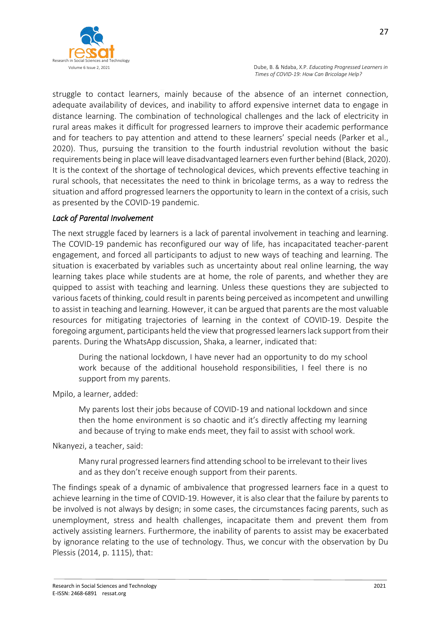

struggle to contact learners, mainly because of the absence of an internet connection, adequate availability of devices, and inability to afford expensive internet data to engage in distance learning. The combination of technological challenges and the lack of electricity in rural areas makes it difficult for progressed learners to improve their academic performance and for teachers to pay attention and attend to these learners' special needs (Parker et al., 2020). Thus, pursuing the transition to the fourth industrial revolution without the basic requirements being in place will leave disadvantaged learners even further behind (Black, 2020). It is the context of the shortage of technological devices, which prevents effective teaching in rural schools, that necessitates the need to think in bricolage terms, as a way to redress the situation and afford progressed learners the opportunity to learn in the context of a crisis, such as presented by the COVID-19 pandemic.

#### *Lack of Parental Involvement*

The next struggle faced by learners is a lack of parental involvement in teaching and learning. The COVID-19 pandemic has reconfigured our way of life, has incapacitated teacher-parent engagement, and forced all participants to adjust to new ways of teaching and learning. The situation is exacerbated by variables such as uncertainty about real online learning, the way learning takes place while students are at home, the role of parents, and whether they are quipped to assist with teaching and learning. Unless these questions they are subjected to various facets of thinking, could result in parents being perceived as incompetent and unwilling to assist in teaching and learning. However, it can be argued that parents are the most valuable resources for mitigating trajectories of learning in the context of COVID-19. Despite the foregoing argument, participants held the view that progressed learners lack support from their parents. During the WhatsApp discussion, Shaka, a learner, indicated that:

During the national lockdown, I have never had an opportunity to do my school work because of the additional household responsibilities, I feel there is no support from my parents.

Mpilo, a learner, added:

My parents lost their jobs because of COVID-19 and national lockdown and since then the home environment is so chaotic and it's directly affecting my learning and because of trying to make ends meet, they fail to assist with school work.

Nkanyezi, a teacher, said:

Many rural progressed learners find attending school to be irrelevant to their lives and as they don't receive enough support from their parents.

The findings speak of a dynamic of ambivalence that progressed learners face in a quest to achieve learning in the time of COVID-19. However, it is also clear that the failure by parents to be involved is not always by design; in some cases, the circumstances facing parents, such as unemployment, stress and health challenges, incapacitate them and prevent them from actively assisting learners. Furthermore, the inability of parents to assist may be exacerbated by ignorance relating to the use of technology. Thus, we concur with the observation by Du Plessis (2014, p. 1115), that: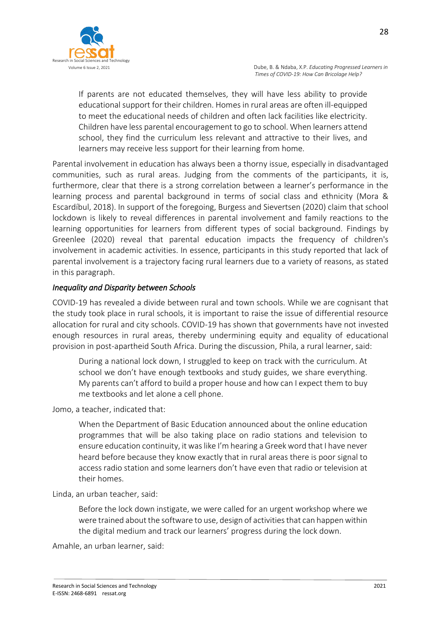

If parents are not educated themselves, they will have less ability to provide educational support for their children. Homes in rural areas are often ill-equipped to meet the educational needs of children and often lack facilities like electricity. Children have less parental encouragement to go to school. When learners attend school, they find the curriculum less relevant and attractive to their lives, and learners may receive less support for their learning from home.

Parental involvement in education has always been a thorny issue, especially in disadvantaged communities, such as rural areas. Judging from the comments of the participants, it is, furthermore, clear that there is a strong correlation between a learner's performance in the learning process and parental background in terms of social class and ethnicity (Mora & Escardíbul, 2018). In support of the foregoing, Burgess and Sievertsen (2020) claim that school lockdown is likely to reveal differences in parental involvement and family reactions to the learning opportunities for learners from different types of social background. Findings by Greenlee (2020) reveal that parental education impacts the frequency of children's involvement in academic activities. In essence, participants in this study reported that lack of parental involvement is a trajectory facing rural learners due to a variety of reasons, as stated in this paragraph.

#### *Inequality and Disparity between Schools*

COVID-19 has revealed a divide between rural and town schools. While we are cognisant that the study took place in rural schools, it is important to raise the issue of differential resource allocation for rural and city schools. COVID-19 has shown that governments have not invested enough resources in rural areas, thereby undermining equity and equality of educational provision in post-apartheid South Africa. During the discussion, Phila, a rural learner, said:

During a national lock down, I struggled to keep on track with the curriculum. At school we don't have enough textbooks and study guides, we share everything. My parents can't afford to build a proper house and how can I expect them to buy me textbooks and let alone a cell phone.

Jomo, a teacher, indicated that:

When the Department of Basic Education announced about the online education programmes that will be also taking place on radio stations and television to ensure education continuity, it was like I'm hearing a Greek word that I have never heard before because they know exactly that in rural areas there is poor signal to access radio station and some learners don't have even that radio or television at their homes.

Linda, an urban teacher, said:

Before the lock down instigate, we were called for an urgent workshop where we were trained about the software to use, design of activities that can happen within the digital medium and track our learners' progress during the lock down.

Amahle, an urban learner, said: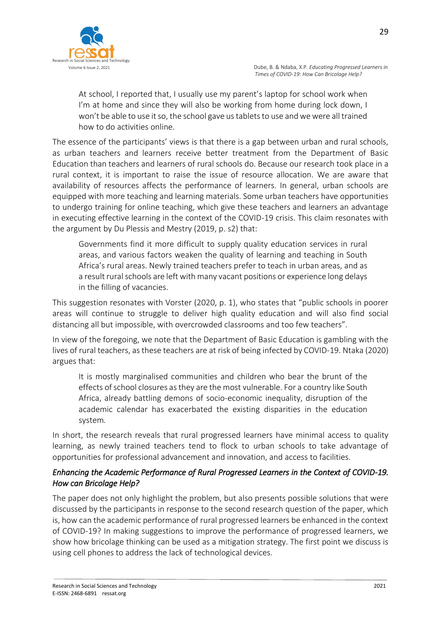

At school, I reported that, I usually use my parent's laptop for school work when I'm at home and since they will also be working from home during lock down, I won't be able to use it so, the school gave us tablets to use and we were all trained how to do activities online.

The essence of the participants' views is that there is a gap between urban and rural schools, as urban teachers and learners receive better treatment from the Department of Basic Education than teachers and learners of rural schools do. Because our research took place in a rural context, it is important to raise the issue of resource allocation. We are aware that availability of resources affects the performance of learners. In general, urban schools are equipped with more teaching and learning materials. Some urban teachers have opportunities to undergo training for online teaching, which give these teachers and learners an advantage in executing effective learning in the context of the COVID-19 crisis. This claim resonates with the argument by Du Plessis and Mestry (2019, p. s2) that:

Governments find it more difficult to supply quality education services in rural areas, and various factors weaken the quality of learning and teaching in South Africa's rural areas. Newly trained teachers prefer to teach in urban areas, and as a result rural schools are left with many vacant positions or experience long delays in the filling of vacancies.

This suggestion resonates with Vorster (2020, p. 1), who states that "public schools in poorer areas will continue to struggle to deliver high quality education and will also find social distancing all but impossible, with overcrowded classrooms and too few teachers".

In view of the foregoing, we note that the Department of Basic Education is gambling with the lives of rural teachers, as these teachers are at risk of being infected by COVID-19. Ntaka (2020) argues that:

It is mostly marginalised communities and children who bear the brunt of the effects of school closures as they are the most vulnerable. For a country like South Africa, already battling demons of socio-economic inequality, disruption of the academic calendar has exacerbated the existing disparities in the education system*.*

In short, the research reveals that rural progressed learners have minimal access to quality learning, as newly trained teachers tend to flock to urban schools to take advantage of opportunities for professional advancement and innovation, and access to facilities.

# *Enhancing the Academic Performance of Rural Progressed Learners in the Context of COVID-19. How can Bricolage Help?*

The paper does not only highlight the problem, but also presents possible solutions that were discussed by the participants in response to the second research question of the paper, which is, how can the academic performance of rural progressed learners be enhanced in the context of COVID-19? In making suggestions to improve the performance of progressed learners, we show how bricolage thinking can be used as a mitigation strategy. The first point we discuss is using cell phones to address the lack of technological devices.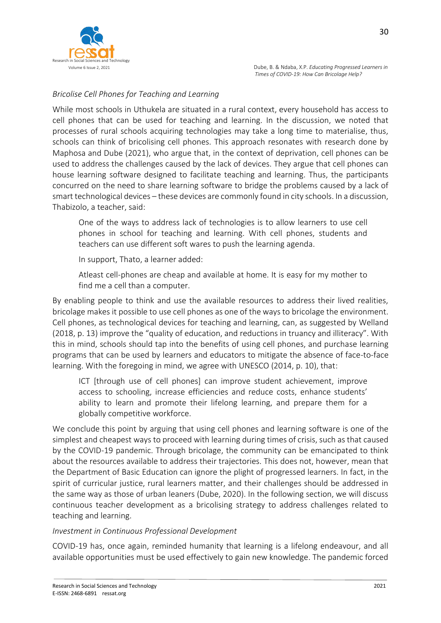

*Bricolise Cell Phones for Teaching and Learning*

While most schools in Uthukela are situated in a rural context, every household has access to cell phones that can be used for teaching and learning. In the discussion, we noted that processes of rural schools acquiring technologies may take a long time to materialise, thus, schools can think of bricolising cell phones. This approach resonates with research done by Maphosa and Dube (2021), who argue that, in the context of deprivation, cell phones can be used to address the challenges caused by the lack of devices. They argue that cell phones can house learning software designed to facilitate teaching and learning. Thus, the participants concurred on the need to share learning software to bridge the problems caused by a lack of smart technological devices – these devices are commonly found in city schools. In a discussion, Thabizolo, a teacher, said:

One of the ways to address lack of technologies is to allow learners to use cell phones in school for teaching and learning. With cell phones, students and teachers can use different soft wares to push the learning agenda.

In support, Thato, a learner added:

Atleast cell-phones are cheap and available at home. It is easy for my mother to find me a cell than a computer.

By enabling people to think and use the available resources to address their lived realities, bricolage makes it possible to use cell phones as one of the ways to bricolage the environment. Cell phones, as technological devices for teaching and learning, can, as suggested by Welland (2018, p. 13) improve the "quality of education, and reductions in truancy and illiteracy". With this in mind, schools should tap into the benefits of using cell phones, and purchase learning programs that can be used by learners and educators to mitigate the absence of face-to-face learning. With the foregoing in mind, we agree with UNESCO (2014, p. 10), that:

ICT [through use of cell phones] can improve student achievement, improve access to schooling, increase efficiencies and reduce costs, enhance students' ability to learn and promote their lifelong learning, and prepare them for a globally competitive workforce.

We conclude this point by arguing that using cell phones and learning software is one of the simplest and cheapest ways to proceed with learning during times of crisis, such as that caused by the COVID-19 pandemic. Through bricolage, the community can be emancipated to think about the resources available to address their trajectories. This does not, however, mean that the Department of Basic Education can ignore the plight of progressed learners. In fact, in the spirit of curricular justice, rural learners matter, and their challenges should be addressed in the same way as those of urban leaners (Dube, 2020). In the following section, we will discuss continuous teacher development as a bricolising strategy to address challenges related to teaching and learning.

#### *Investment in Continuous Professional Development*

COVID-19 has, once again, reminded humanity that learning is a lifelong endeavour, and all available opportunities must be used effectively to gain new knowledge. The pandemic forced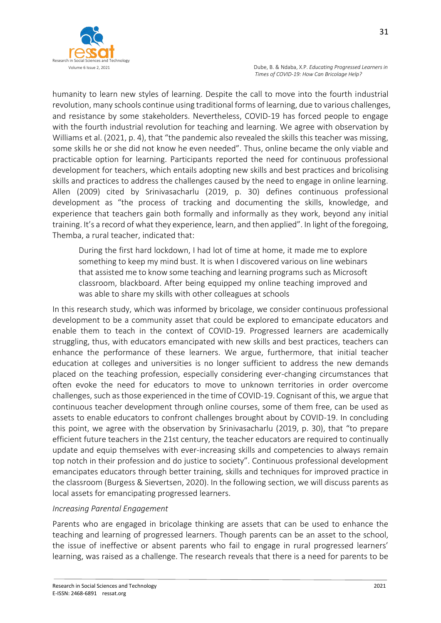

humanity to learn new styles of learning. Despite the call to move into the fourth industrial revolution, many schools continue using traditional forms of learning, due to various challenges, and resistance by some stakeholders. Nevertheless, COVID-19 has forced people to engage with the fourth industrial revolution for teaching and learning. We agree with observation by Williams et al. (2021, p. 4), that "the pandemic also revealed the skills this teacher was missing, some skills he or she did not know he even needed". Thus, online became the only viable and practicable option for learning. Participants reported the need for continuous professional development for teachers, which entails adopting new skills and best practices and bricolising skills and practices to address the challenges caused by the need to engage in online learning. Allen (2009) cited by Srinivasacharlu (2019, p. 30) defines continuous professional development as "the process of tracking and documenting the skills, knowledge, and experience that teachers gain both formally and informally as they work, beyond any initial training. It's a record of what they experience, learn, and then applied". In light of the foregoing, Themba, a rural teacher, indicated that:

During the first hard lockdown, I had lot of time at home, it made me to explore something to keep my mind bust. It is when I discovered various on line webinars that assisted me to know some teaching and learning programs such as Microsoft classroom, blackboard. After being equipped my online teaching improved and was able to share my skills with other colleagues at schools

In this research study, which was informed by bricolage, we consider continuous professional development to be a community asset that could be explored to emancipate educators and enable them to teach in the context of COVID-19. Progressed learners are academically struggling, thus, with educators emancipated with new skills and best practices, teachers can enhance the performance of these learners. We argue, furthermore, that initial teacher education at colleges and universities is no longer sufficient to address the new demands placed on the teaching profession, especially considering ever-changing circumstances that often evoke the need for educators to move to unknown territories in order overcome challenges, such as those experienced in the time of COVID-19. Cognisant of this, we argue that continuous teacher development through online courses, some of them free, can be used as assets to enable educators to confront challenges brought about by COVID-19. In concluding this point, we agree with the observation by Srinivasacharlu (2019, p. 30), that "to prepare efficient future teachers in the 21st century, the teacher educators are required to continually update and equip themselves with ever-increasing skills and competencies to always remain top notch in their profession and do justice to society". Continuous professional development emancipates educators through better training, skills and techniques for improved practice in the classroom (Burgess & Sievertsen, 2020). In the following section, we will discuss parents as local assets for emancipating progressed learners.

#### *Increasing Parental Engagement*

Parents who are engaged in bricolage thinking are assets that can be used to enhance the teaching and learning of progressed learners. Though parents can be an asset to the school, the issue of ineffective or absent parents who fail to engage in rural progressed learners' learning, was raised as a challenge. The research reveals that there is a need for parents to be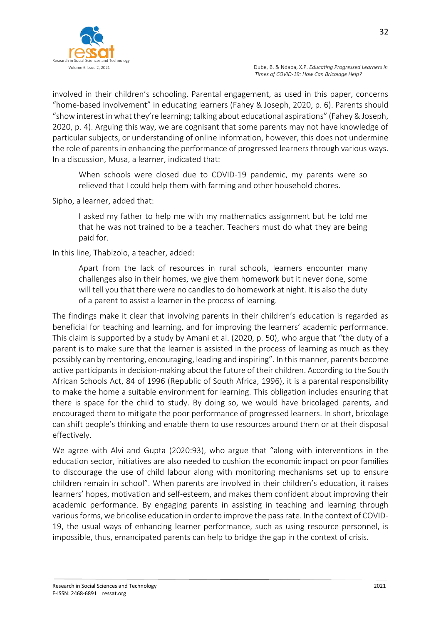

involved in their children's schooling. Parental engagement, as used in this paper, concerns "home-based involvement" in educating learners (Fahey & Joseph, 2020, p. 6). Parents should "show interest in what they're learning; talking about educational aspirations" (Fahey & Joseph, 2020, p. 4). Arguing this way, we are cognisant that some parents may not have knowledge of particular subjects, or understanding of online information, however, this does not undermine the role of parents in enhancing the performance of progressed learners through various ways. In a discussion, Musa, a learner, indicated that:

When schools were closed due to COVID-19 pandemic, my parents were so relieved that I could help them with farming and other household chores.

Sipho, a learner, added that:

I asked my father to help me with my mathematics assignment but he told me that he was not trained to be a teacher. Teachers must do what they are being paid for.

In this line, Thabizolo, a teacher, added:

Apart from the lack of resources in rural schools, learners encounter many challenges also in their homes, we give them homework but it never done, some will tell you that there were no candles to do homework at night. It is also the duty of a parent to assist a learner in the process of learning*.*

The findings make it clear that involving parents in their children's education is regarded as beneficial for teaching and learning, and for improving the learners' academic performance. This claim is supported by a study by Amani et al. (2020, p. 50), who argue that "the duty of a parent is to make sure that the learner is assisted in the process of learning as much as they possibly can by mentoring, encouraging, leading and inspiring". In this manner, parents become active participants in decision-making about the future of their children. According to the South African Schools Act, 84 of 1996 (Republic of South Africa, 1996), it is a parental responsibility to make the home a suitable environment for learning. This obligation includes ensuring that there is space for the child to study. By doing so, we would have bricolaged parents, and encouraged them to mitigate the poor performance of progressed learners. In short, bricolage can shift people's thinking and enable them to use resources around them or at their disposal effectively.

We agree with Alvi and Gupta (2020:93), who argue that "along with interventions in the education sector, initiatives are also needed to cushion the economic impact on poor families to discourage the use of child labour along with monitoring mechanisms set up to ensure children remain in school". When parents are involved in their children's education, it raises learners' hopes, motivation and self-esteem, and makes them confident about improving their academic performance. By engaging parents in assisting in teaching and learning through various forms, we bricolise education in order to improve the pass rate. In the context of COVID-19, the usual ways of enhancing learner performance, such as using resource personnel, is impossible, thus, emancipated parents can help to bridge the gap in the context of crisis.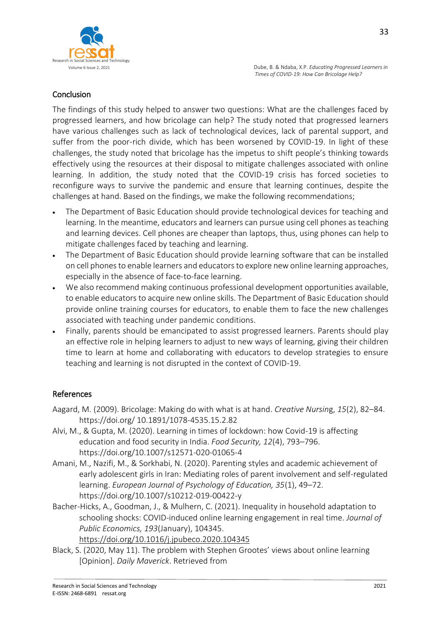

### Conclusion

The findings of this study helped to answer two questions: What are the challenges faced by progressed learners, and how bricolage can help? The study noted that progressed learners have various challenges such as lack of technological devices, lack of parental support, and suffer from the poor-rich divide, which has been worsened by COVID-19. In light of these challenges, the study noted that bricolage has the impetus to shift people's thinking towards effectively using the resources at their disposal to mitigate challenges associated with online learning. In addition, the study noted that the COVID-19 crisis has forced societies to reconfigure ways to survive the pandemic and ensure that learning continues, despite the challenges at hand. Based on the findings, we make the following recommendations;

- The Department of Basic Education should provide technological devices for teaching and learning. In the meantime, educators and learners can pursue using cell phones as teaching and learning devices. Cell phones are cheaper than laptops, thus, using phones can help to mitigate challenges faced by teaching and learning.
- The Department of Basic Education should provide learning software that can be installed on cell phones to enable learners and educators to explore new online learning approaches, especially in the absence of face-to-face learning.
- We also recommend making continuous professional development opportunities available, to enable educators to acquire new online skills. The Department of Basic Education should provide online training courses for educators, to enable them to face the new challenges associated with teaching under pandemic conditions.
- Finally, parents should be emancipated to assist progressed learners. Parents should play an effective role in helping learners to adjust to new ways of learning, giving their children time to learn at home and collaborating with educators to develop strategies to ensure teaching and learning is not disrupted in the context of COVID-19.

#### References

- Aagard, M. (2009). Bricolage: Making do with what is at hand. *Creative Nursin*g, *15*(2), 82–84. https://doi.org/ 10.1891/1078-4535.15.2.82
- Alvi, M., & Gupta, M. (2020). Learning in times of lockdown: how Covid-19 is affecting education and food security in India. *Food Security, 12*(4), 793–796. https://doi.org/10.1007/s12571-020-01065-4
- Amani, M., Nazifi, M., & Sorkhabi, N. (2020). Parenting styles and academic achievement of early adolescent girls in Iran: Mediating roles of parent involvement and self-regulated learning. *European Journal of Psychology of Education, 35*(1), 49–72. https://doi.org/10.1007/s10212-019-00422-y
- Bacher-Hicks, A., Goodman, J., & Mulhern, C. (2021). Inequality in household adaptation to schooling shocks: COVID-induced online learning engagement in real time. *Journal of Public Economics, 193*(January), 104345. <https://doi.org/10.1016/j.jpubeco.2020.104345>
- Black, S. (2020, May 11). The problem with Stephen Grootes' views about online learning [Opinion]. *Daily Maverick*. Retrieved from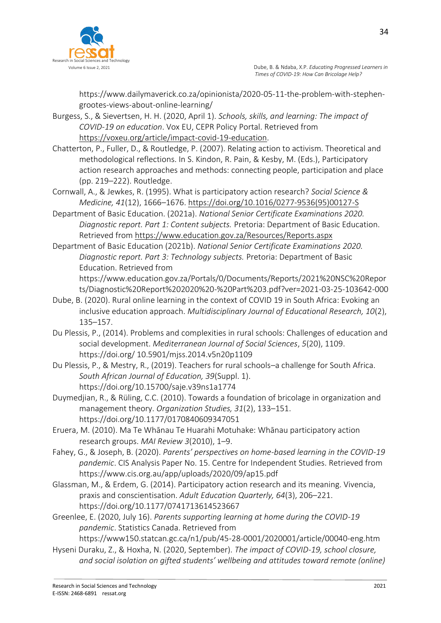

https://www.dailymaverick.co.za/opinionista/2020-05-11-the-problem-with-stephengrootes-views-about-online-learning/

- Burgess, S., & Sievertsen, H. H. (2020, April 1). *Schools, skills, and learning: The impact of COVID-19 on education*. Vox EU, CEPR Policy Portal. Retrieved from [https://voxeu.org/article/impact-covid-19-education.](https://voxeu.org/article/impact-covid-19-education)
- Chatterton, P., Fuller, D., & Routledge, P. (2007). Relating action to activism. Theoretical and methodological reflections. In S. Kindon, R. Pain, & Kesby, M. (Eds.), Participatory action research approaches and methods: connecting people, participation and place (pp. 219–222). Routledge.
- Cornwall, A., & Jewkes, R. (1995). What is participatory action research? *Social Science & Medicine, 41*(12), 1666–1676. [https://doi.org/10.1016/0277-9536\(95\)00127-S](https://doi.org/10.1016/0277-9536(95)00127-S)
- Department of Basic Education. (2021a). *National Senior Certificate Examinations 2020. Diagnostic report. Part 1: Content subjects.* Pretoria: Department of Basic Education. Retrieved from<https://www.education.gov.za/Resources/Reports.aspx>
- Department of Basic Education (2021b). *National Senior Certificate Examinations 2020. Diagnostic report. Part 3: Technology subjects.* Pretoria: Department of Basic Education. Retrieved from
	- https://www.education.gov.za/Portals/0/Documents/Reports/2021%20NSC%20Repor ts/Diagnostic%20Report%202020%20-%20Part%203.pdf?ver=2021-03-25-103642-000
- Dube, B. (2020). Rural online learning in the context of COVID 19 in South Africa: Evoking an inclusive education approach. *Multidisciplinary Journal of Educational Research, 10*(2), 135–157.
- Du Plessis, P., (2014). Problems and complexities in rural schools: Challenges of education and social development. *Mediterranean Journal of Social Sciences*, *5*(20), 1109. https://doi.org/ 10.5901/mjss.2014.v5n20p1109
- Du Plessis, P., & Mestry, R., (2019). Teachers for rural schools–a challenge for South Africa. *South African Journal of Education, 39*(Suppl. 1). https://doi.org/10.15700/saje.v39ns1a1774
- Duymedjian, R., & Rüling, C.C. (2010). Towards a foundation of bricolage in organization and management theory. *Organization Studies, 31*(2), 133–151. https://doi.org/10.1177/0170840609347051
- Eruera, M. (2010). Ma Te Whānau Te Huarahi Motuhake: Whānau participatory action research groups. *MAI Review 3*(2010), 1–9.
- Fahey, G., & Joseph, B. (2020). *Parents' perspectives on home-based learning in the COVID-19 pandemic*. CIS Analysis Paper No. 15. Centre for Independent Studies. Retrieved from https://www.cis.org.au/app/uploads/2020/09/ap15.pdf
- Glassman, M., & Erdem, G. (2014). Participatory action research and its meaning. Vivencia, praxis and conscientisation. *Adult Education Quarterly, 64*(3), 206–221. https://doi.org/10.1177/0741713614523667
- Greenlee, E. (2020, July 16). *Parents supporting learning at home during the COVID-19 pandemic*. Statistics Canada. Retrieved from

https://www150.statcan.gc.ca/n1/pub/45-28-0001/2020001/article/00040-eng.htm

Hyseni Duraku, Z., & Hoxha, N. (2020, September). *The impact of COVID-19, school closure, and social isolation on gifted students' wellbeing and attitudes toward remote (online)*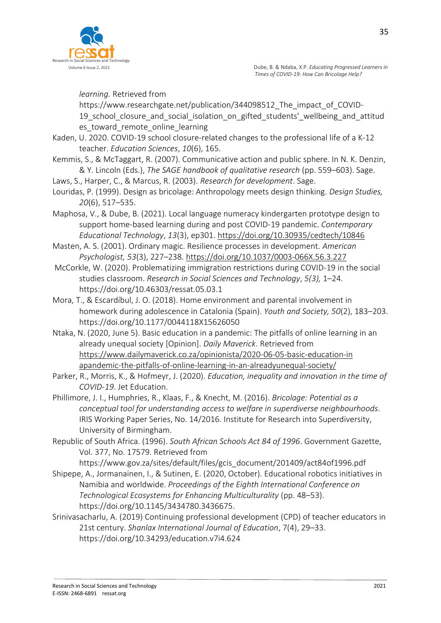

*learning.* Retrieved from

https://www.researchgate.net/publication/344098512 The impact of COVID-19 school closure and social isolation on gifted students' wellbeing and attitud es toward remote online learning

- Kaden, U. 2020. COVID-19 school closure-related changes to the professional life of a K-12 teacher. *Education Sciences*, *10*(6), 165.
- Kemmis, S., & McTaggart, R. (2007). Communicative action and public sphere. In N. K. Denzin, & Y. Lincoln (Eds.), *The SAGE handbook of qualitative research* (pp. 559–603). Sage.
- Laws, S., Harper, C., & Marcus, R. (2003). *Research for development*. Sage.
- Louridas, P. (1999). Design as bricolage: Anthropology meets design thinking. *Design Studies, 20*(6), 517–535.
- Maphosa, V., & Dube, B. (2021). Local language numeracy kindergarten prototype design to support home-based learning during and post COVID-19 pandemic. *Contemporary Educational Technology*, *13*(3), ep301.<https://doi.org/10.30935/cedtech/10846>
- Masten, A. S. (2001). Ordinary magic. Resilience processes in development. *American Psychologist, 53*(3), 227–238.<https://doi.org/10.1037/0003-066X.56.3.227>
- McCorkle, W. (2020). Problematizing immigration restrictions during COVID-19 in the social studies classroom. *Research in Social Sciences and Technology*, *5(3),* 1–24. https://doi.org/10.46303/ressat.05.03.1
- Mora, T., & Escardíbul, J. O. (2018). Home environment and parental involvement in homework during adolescence in Catalonia (Spain). *Youth and Society, 50*(2), 183–203. <https://doi.org/10.1177/0044118X15626050>
- Ntaka, N. (2020, June 5). Basic education in a pandemic: The pitfalls of online learning in an already unequal society [Opinion]. *Daily Maverick*. Retrieved from [https://www.dailymaverick.co.za/opinionista/2020-06-05-basic-education-in](https://www.dailymaverick.co.za/opinionista/2020-06-05-basic-education-in%20apandemic-the-pitfalls-of-online-learning-in-an-alreadyunequal-society/)  [apandemic-the-pitfalls-of-online-learning-in-an-alreadyunequal-society/](https://www.dailymaverick.co.za/opinionista/2020-06-05-basic-education-in%20apandemic-the-pitfalls-of-online-learning-in-an-alreadyunequal-society/)
- Parker, R., Morris, K., & Hofmeyr, J. (2020). *Education, inequality and innovation in the time of COVID-19*. Jet Education.
- Phillimore, J. I., Humphries, R., Klaas, F., & Knecht, M. (2016). *Bricolage: Potential as a conceptual tool for understanding access to welfare in superdiverse neighbourhoods*. IRIS Working Paper Series, No. 14/2016. Institute for Research into Superdiversity, University of Birmingham.
- Republic of South Africa. (1996). *South African Schools Act 84 of 1996*. Government Gazette, Vol. 377, No. 17579. Retrieved from
- https://www.gov.za/sites/default/files/gcis\_document/201409/act84of1996.pdf Shipepe, A., Jormanainen, I., & Sutinen, E. (2020, October). Educational robotics initiatives in Namibia and worldwide. *Proceedings of the Eighth International Conference on Technological Ecosystems for Enhancing Multiculturality* (pp. 48–53). https://doi.org/10.1145/3434780.3436675.
- Srinivasacharlu, A. (2019) Continuing professional development (CPD) of teacher educators in 21st century. *Shanlax International Journal of Education*, 7(4), 29–33. https://doi.org/10.34293/education.v7i4.624